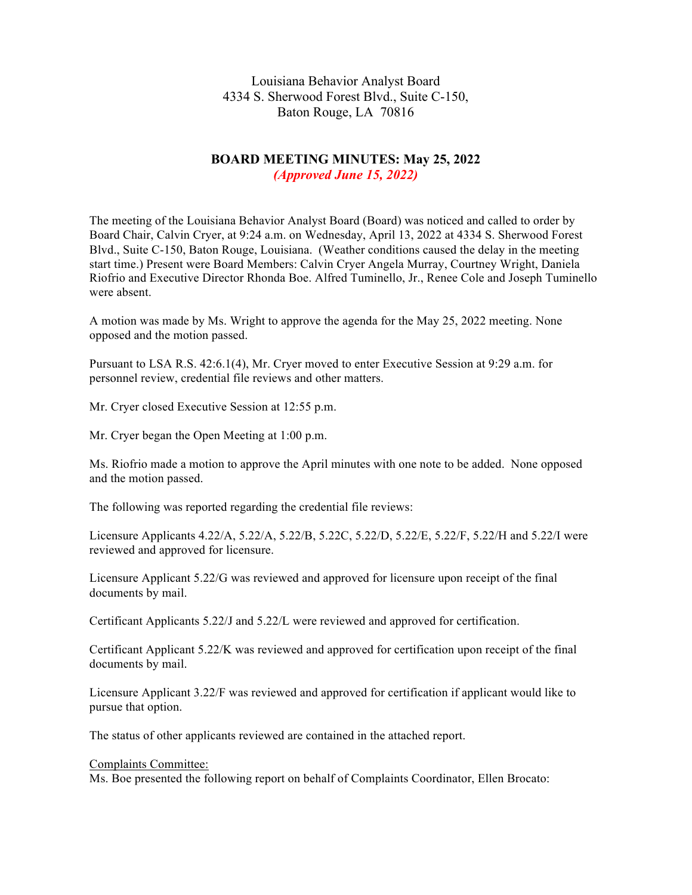Louisiana Behavior Analyst Board 4334 S. Sherwood Forest Blvd., Suite C-150, Baton Rouge, LA 70816

# **BOARD MEETING MINUTES: May 25, 2022** *(Approved June 15, 2022)*

The meeting of the Louisiana Behavior Analyst Board (Board) was noticed and called to order by Board Chair, Calvin Cryer, at 9:24 a.m. on Wednesday, April 13, 2022 at 4334 S. Sherwood Forest Blvd., Suite C-150, Baton Rouge, Louisiana. (Weather conditions caused the delay in the meeting start time.) Present were Board Members: Calvin Cryer Angela Murray, Courtney Wright, Daniela Riofrio and Executive Director Rhonda Boe. Alfred Tuminello, Jr., Renee Cole and Joseph Tuminello were absent.

A motion was made by Ms. Wright to approve the agenda for the May 25, 2022 meeting. None opposed and the motion passed.

Pursuant to LSA R.S. 42:6.1(4), Mr. Cryer moved to enter Executive Session at 9:29 a.m. for personnel review, credential file reviews and other matters.

Mr. Cryer closed Executive Session at 12:55 p.m.

Mr. Cryer began the Open Meeting at 1:00 p.m.

Ms. Riofrio made a motion to approve the April minutes with one note to be added. None opposed and the motion passed.

The following was reported regarding the credential file reviews:

Licensure Applicants 4.22/A, 5.22/A, 5.22/B, 5.22C, 5.22/D, 5.22/E, 5.22/F, 5.22/H and 5.22/I were reviewed and approved for licensure.

Licensure Applicant 5.22/G was reviewed and approved for licensure upon receipt of the final documents by mail.

Certificant Applicants 5.22/J and 5.22/L were reviewed and approved for certification.

Certificant Applicant 5.22/K was reviewed and approved for certification upon receipt of the final documents by mail.

Licensure Applicant 3.22/F was reviewed and approved for certification if applicant would like to pursue that option.

The status of other applicants reviewed are contained in the attached report.

## Complaints Committee:

Ms. Boe presented the following report on behalf of Complaints Coordinator, Ellen Brocato: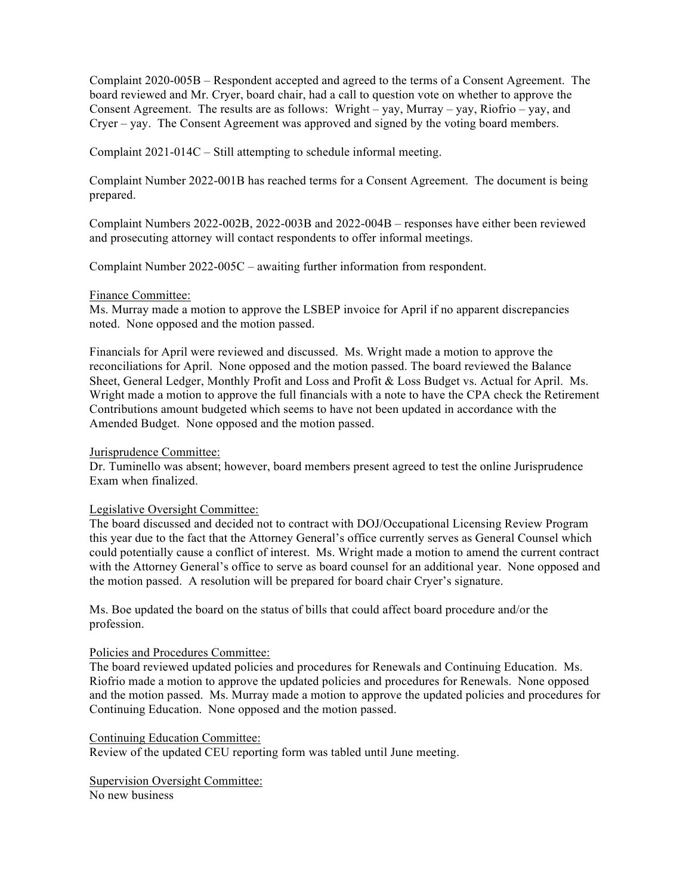Complaint 2020-005B – Respondent accepted and agreed to the terms of a Consent Agreement. The board reviewed and Mr. Cryer, board chair, had a call to question vote on whether to approve the Consent Agreement. The results are as follows: Wright – yay, Murray – yay, Riofrio – yay, and Cryer – yay. The Consent Agreement was approved and signed by the voting board members.

Complaint 2021-014C – Still attempting to schedule informal meeting.

Complaint Number 2022-001B has reached terms for a Consent Agreement. The document is being prepared.

Complaint Numbers 2022-002B, 2022-003B and 2022-004B – responses have either been reviewed and prosecuting attorney will contact respondents to offer informal meetings.

Complaint Number 2022-005C – awaiting further information from respondent.

# Finance Committee:

Ms. Murray made a motion to approve the LSBEP invoice for April if no apparent discrepancies noted. None opposed and the motion passed.

Financials for April were reviewed and discussed. Ms. Wright made a motion to approve the reconciliations for April. None opposed and the motion passed. The board reviewed the Balance Sheet, General Ledger, Monthly Profit and Loss and Profit & Loss Budget vs. Actual for April. Ms. Wright made a motion to approve the full financials with a note to have the CPA check the Retirement Contributions amount budgeted which seems to have not been updated in accordance with the Amended Budget. None opposed and the motion passed.

## Jurisprudence Committee:

Dr. Tuminello was absent; however, board members present agreed to test the online Jurisprudence Exam when finalized.

# Legislative Oversight Committee:

The board discussed and decided not to contract with DOJ/Occupational Licensing Review Program this year due to the fact that the Attorney General's office currently serves as General Counsel which could potentially cause a conflict of interest. Ms. Wright made a motion to amend the current contract with the Attorney General's office to serve as board counsel for an additional year. None opposed and the motion passed. A resolution will be prepared for board chair Cryer's signature.

Ms. Boe updated the board on the status of bills that could affect board procedure and/or the profession.

# Policies and Procedures Committee:

The board reviewed updated policies and procedures for Renewals and Continuing Education. Ms. Riofrio made a motion to approve the updated policies and procedures for Renewals. None opposed and the motion passed. Ms. Murray made a motion to approve the updated policies and procedures for Continuing Education. None opposed and the motion passed.

## Continuing Education Committee:

Review of the updated CEU reporting form was tabled until June meeting.

# Supervision Oversight Committee:

No new business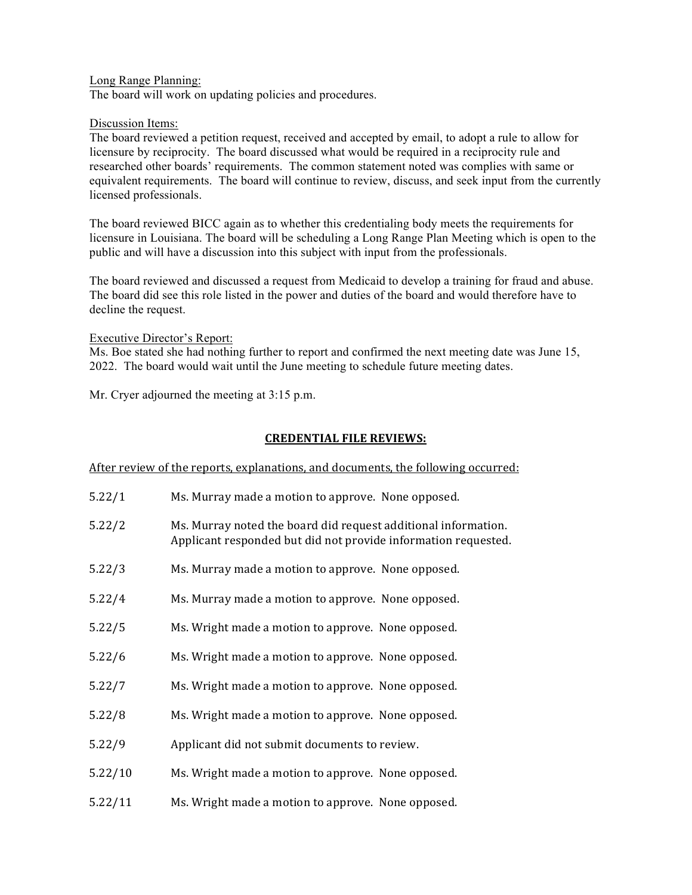## Long Range Planning:

The board will work on updating policies and procedures.

# Discussion Items:

The board reviewed a petition request, received and accepted by email, to adopt a rule to allow for licensure by reciprocity. The board discussed what would be required in a reciprocity rule and researched other boards' requirements. The common statement noted was complies with same or equivalent requirements. The board will continue to review, discuss, and seek input from the currently licensed professionals.

The board reviewed BICC again as to whether this credentialing body meets the requirements for licensure in Louisiana. The board will be scheduling a Long Range Plan Meeting which is open to the public and will have a discussion into this subject with input from the professionals.

The board reviewed and discussed a request from Medicaid to develop a training for fraud and abuse. The board did see this role listed in the power and duties of the board and would therefore have to decline the request.

## Executive Director's Report:

Ms. Boe stated she had nothing further to report and confirmed the next meeting date was June 15, 2022. The board would wait until the June meeting to schedule future meeting dates.

Mr. Cryer adjourned the meeting at 3:15 p.m.

# **CREDENTIAL FILE REVIEWS:**

## After review of the reports, explanations, and documents, the following occurred:

| 5.22/1  | Ms. Murray made a motion to approve. None opposed.                                                                               |
|---------|----------------------------------------------------------------------------------------------------------------------------------|
| 5.22/2  | Ms. Murray noted the board did request additional information.<br>Applicant responded but did not provide information requested. |
| 5.22/3  | Ms. Murray made a motion to approve. None opposed.                                                                               |
| 5.22/4  | Ms. Murray made a motion to approve. None opposed.                                                                               |
| 5.22/5  | Ms. Wright made a motion to approve. None opposed.                                                                               |
| 5.22/6  | Ms. Wright made a motion to approve. None opposed.                                                                               |
| 5.22/7  | Ms. Wright made a motion to approve. None opposed.                                                                               |
| 5.22/8  | Ms. Wright made a motion to approve. None opposed.                                                                               |
| 5.22/9  | Applicant did not submit documents to review.                                                                                    |
| 5.22/10 | Ms. Wright made a motion to approve. None opposed.                                                                               |
| 5.22/11 | Ms. Wright made a motion to approve. None opposed.                                                                               |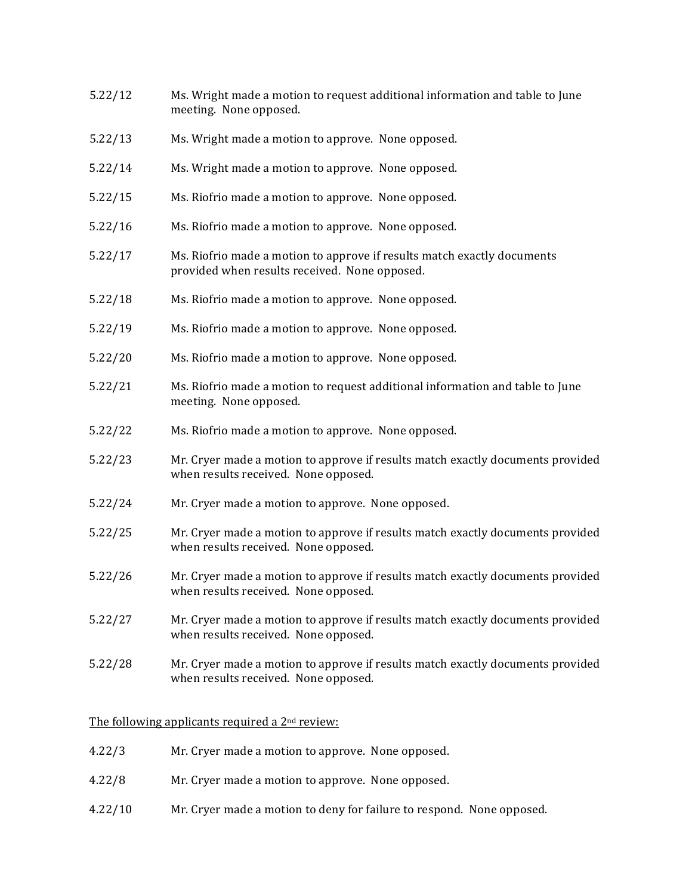- 5.22/12 Ms. Wright made a motion to request additional information and table to June meeting. None opposed.
- 5.22/13 Ms. Wright made a motion to approve. None opposed.
- 5.22/14 Ms. Wright made a motion to approve. None opposed.
- 5.22/15 Ms. Riofrio made a motion to approve. None opposed.
- 5.22/16 Ms. Riofrio made a motion to approve. None opposed.
- 5.22/17 Ms. Riofrio made a motion to approve if results match exactly documents provided when results received. None opposed.
- 5.22/18 Ms. Riofrio made a motion to approve. None opposed.
- 5.22/19 Ms. Riofrio made a motion to approve. None opposed.
- 5.22/20 Ms. Riofrio made a motion to approve. None opposed.
- 5.22/21 Ms. Riofrio made a motion to request additional information and table to June meeting. None opposed.
- 5.22/22 Ms. Riofrio made a motion to approve. None opposed.
- 5.22/23 Mr. Cryer made a motion to approve if results match exactly documents provided when results received. None opposed.
- 5.22/24 Mr. Cryer made a motion to approve. None opposed.
- 5.22/25 Mr. Cryer made a motion to approve if results match exactly documents provided when results received. None opposed.
- 5.22/26 Mr. Cryer made a motion to approve if results match exactly documents provided when results received. None opposed.
- 5.22/27 Mr. Cryer made a motion to approve if results match exactly documents provided when results received. None opposed.
- 5.22/28 Mr. Cryer made a motion to approve if results match exactly documents provided when results received. None opposed.

## The following applicants required a  $2<sup>nd</sup>$  review:

- 4.22/3 Mr. Cryer made a motion to approve. None opposed.
- 4.22/8 Mr. Cryer made a motion to approve. None opposed.
- 4.22/10 Mr. Cryer made a motion to deny for failure to respond. None opposed.